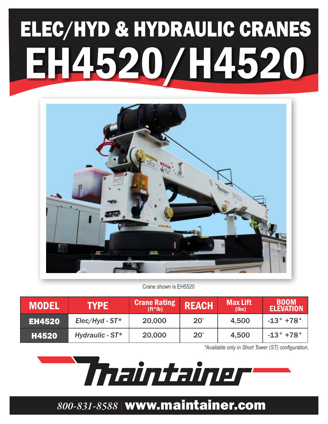# ELEC/HYD & HYDRAULIC CRANES EH4520/H4520



Crane shown is EH5520

| <b>MODEL</b>  | <b>TYPE</b>         | <b>Crane Rating</b><br>$(ft^*lb)$ | <b>REACH</b>  | <b>Max Lift</b><br>(lbs) | <b>BOOM</b><br><b>ELEVATION</b> |
|---------------|---------------------|-----------------------------------|---------------|--------------------------|---------------------------------|
| <b>EH4520</b> | $Elec/Hyd$ - $ST^*$ | 20,000                            | $20^{\prime}$ | 4,500                    | $-13^{\circ}$ +78 $^{\circ}$    |
| H4520         | Hydraulic - $ST^*$  | 20,000                            | $20^{\prime}$ | 4,500                    | $-13^{\circ}$ +78 $^{\circ}$    |

*\*Available only in Short Tower (ST) configuration.*

Thaintainer

### *800-831-8588* www.maintainer.com